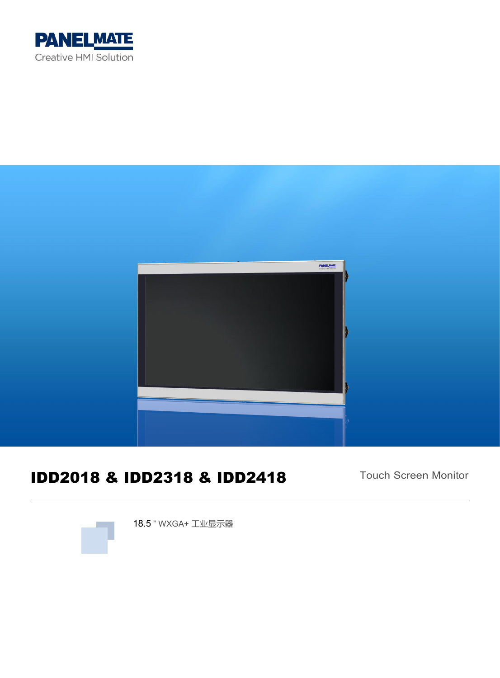



# IDD2018 & IDD2318 & IDD2418

Touch Screen Monitor



18.5 " WXGA+ 工业显示器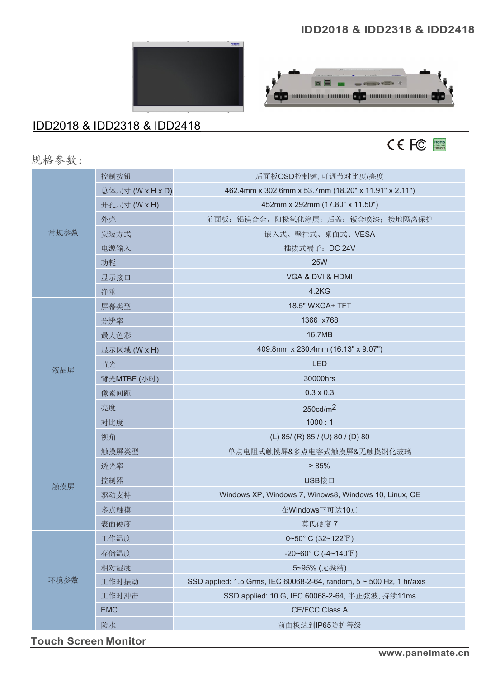#### **IDD2018 & IDD2318 & IDD2418**





### IDD2018 & IDD2318 & IDD2418



规格参数:

| 控制按钮<br>后面板OSD控制键,可调节对比度/亮度                                                           |
|---------------------------------------------------------------------------------------|
| 总体尺寸 (W x H x D)<br>462.4mm x 302.6mm x 53.7mm (18.20" x 11.91" x 2.11")              |
| 452mm x 292mm (17.80" x 11.50")<br>开孔尺寸 (W x H)                                       |
| 前面板: 铝镁合金, 阳极氧化涂层; 后盖: 钣金喷漆; 接地隔离保护<br>外壳                                             |
| 常规参数<br>安装方式<br>嵌入式、壁挂式、桌面式、VESA                                                      |
| 电源输入<br>插拔式端子: DC 24V                                                                 |
| <b>25W</b><br>功耗                                                                      |
| VGA & DVI & HDMI<br>显示接口                                                              |
| 4.2KG<br>净重                                                                           |
| 18.5" WXGA+ TFT<br>屏幕类型                                                               |
| 1366 x768<br>分辨率                                                                      |
| 最大色彩<br>16.7MB                                                                        |
| 409.8mm x 230.4mm (16.13" x 9.07")<br>显示区域 (W x H)                                    |
| <b>LED</b><br>背光<br>液晶屏                                                               |
| 30000hrs<br>背光MTBF (小时)                                                               |
| $0.3 \times 0.3$<br>像素间距                                                              |
| 250cd/m <sup>2</sup><br>亮度                                                            |
| 1000:1<br>对比度                                                                         |
| (L) 85/ (R) 85/ (U) 80/ (D) 80<br>视角                                                  |
| 触摸屏类型<br>单点电阻式触摸屏&多点电容式触摸屏&无触摸钢化玻璃                                                    |
| > 85%<br>透光率                                                                          |
| 控制器<br>USB接口<br>触摸屏                                                                   |
| Windows XP, Windows 7, Winows8, Windows 10, Linux, CE<br>驱动支持                         |
| 多点触摸<br>在Windows下可达10点                                                                |
| 表面硬度<br>莫氏硬度 7                                                                        |
| 工作温度<br>$0~50$ °C (32~122°F)                                                          |
| 存储温度<br>-20~60° C (-4~140°F)                                                          |
| 相对湿度<br>5~95% (无凝结)                                                                   |
| 环境参数<br>SSD applied: 1.5 Grms, IEC 60068-2-64, random, 5 ~ 500 Hz, 1 hr/axis<br>工作时振动 |
| 工作时冲击<br>SSD applied: 10 G, IEC 60068-2-64, 半正弦波, 持续11ms                              |
| <b>EMC</b><br>CE/FCC Class A                                                          |
| 防水<br>前面板达到IP65防护等级                                                                   |

**Touch Screen Monitor**